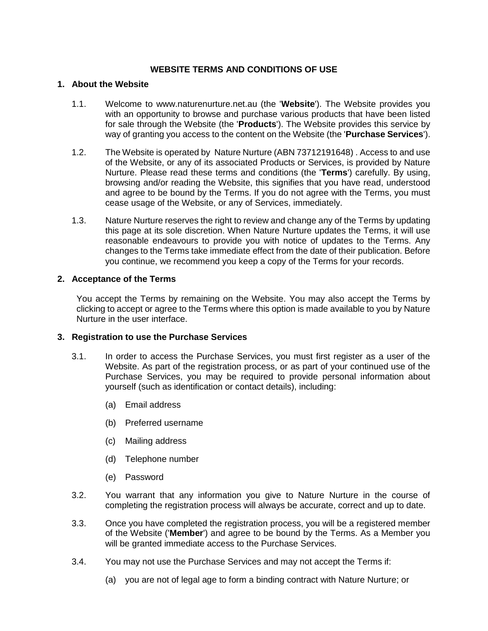## **WEBSITE TERMS AND CONDITIONS OF USE**

#### **1. About the Website**

- 1.1. Welcome to www.naturenurture.net.au (the '**Website**'). The Website provides you with an opportunity to browse and purchase various products that have been listed for sale through the Website (the '**Products**'). The Website provides this service by way of granting you access to the content on the Website (the '**Purchase Services**').
- 1.2. The Website is operated by Nature Nurture (ABN 73712191648) . Access to and use of the Website, or any of its associated Products or Services, is provided by Nature Nurture. Please read these terms and conditions (the '**Terms**') carefully. By using, browsing and/or reading the Website, this signifies that you have read, understood and agree to be bound by the Terms. If you do not agree with the Terms, you must cease usage of the Website, or any of Services, immediately.
- 1.3. Nature Nurture reserves the right to review and change any of the Terms by updating this page at its sole discretion. When Nature Nurture updates the Terms, it will use reasonable endeavours to provide you with notice of updates to the Terms. Any changes to the Terms take immediate effect from the date of their publication. Before you continue, we recommend you keep a copy of the Terms for your records.

#### **2. Acceptance of the Terms**

You accept the Terms by remaining on the Website. You may also accept the Terms by clicking to accept or agree to the Terms where this option is made available to you by Nature Nurture in the user interface.

#### **3. Registration to use the Purchase Services**

- 3.1. In order to access the Purchase Services, you must first register as a user of the Website. As part of the registration process, or as part of your continued use of the Purchase Services, you may be required to provide personal information about yourself (such as identification or contact details), including:
	- (a) Email address
	- (b) Preferred username
	- (c) Mailing address
	- (d) Telephone number
	- (e) Password
- 3.2. You warrant that any information you give to Nature Nurture in the course of completing the registration process will always be accurate, correct and up to date.
- 3.3. Once you have completed the registration process, you will be a registered member of the Website ('**Member**') and agree to be bound by the Terms. As a Member you will be granted immediate access to the Purchase Services.
- 3.4. You may not use the Purchase Services and may not accept the Terms if:
	- (a) you are not of legal age to form a binding contract with Nature Nurture; or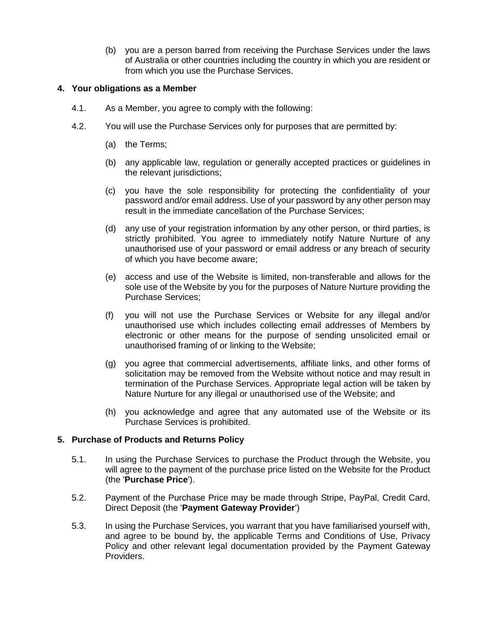(b) you are a person barred from receiving the Purchase Services under the laws of Australia or other countries including the country in which you are resident or from which you use the Purchase Services.

### **4. Your obligations as a Member**

- 4.1. As a Member, you agree to comply with the following:
- 4.2. You will use the Purchase Services only for purposes that are permitted by:
	- (a) the Terms;
	- (b) any applicable law, regulation or generally accepted practices or guidelines in the relevant jurisdictions:
	- (c) you have the sole responsibility for protecting the confidentiality of your password and/or email address. Use of your password by any other person may result in the immediate cancellation of the Purchase Services;
	- (d) any use of your registration information by any other person, or third parties, is strictly prohibited. You agree to immediately notify Nature Nurture of any unauthorised use of your password or email address or any breach of security of which you have become aware;
	- (e) access and use of the Website is limited, non-transferable and allows for the sole use of the Website by you for the purposes of Nature Nurture providing the Purchase Services;
	- (f) you will not use the Purchase Services or Website for any illegal and/or unauthorised use which includes collecting email addresses of Members by electronic or other means for the purpose of sending unsolicited email or unauthorised framing of or linking to the Website;
	- (g) you agree that commercial advertisements, affiliate links, and other forms of solicitation may be removed from the Website without notice and may result in termination of the Purchase Services. Appropriate legal action will be taken by Nature Nurture for any illegal or unauthorised use of the Website; and
	- (h) you acknowledge and agree that any automated use of the Website or its Purchase Services is prohibited.

## **5. Purchase of Products and Returns Policy**

- 5.1. In using the Purchase Services to purchase the Product through the Website, you will agree to the payment of the purchase price listed on the Website for the Product (the '**Purchase Price**').
- 5.2. Payment of the Purchase Price may be made through Stripe, PayPal, Credit Card, Direct Deposit (the '**Payment Gateway Provider**')
- 5.3. In using the Purchase Services, you warrant that you have familiarised yourself with, and agree to be bound by, the applicable Terms and Conditions of Use, Privacy Policy and other relevant legal documentation provided by the Payment Gateway Providers.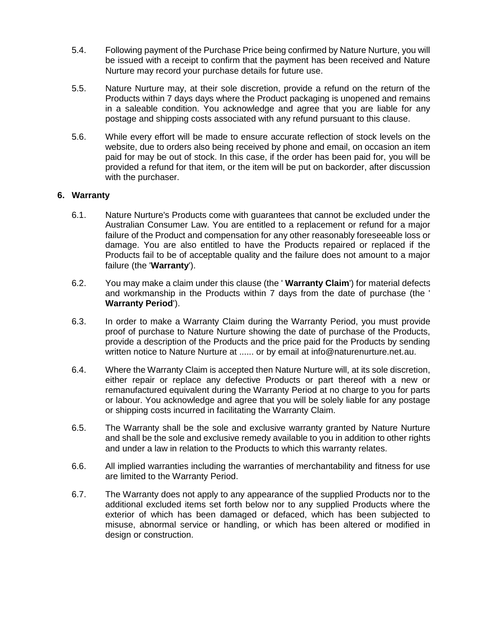- 5.4. Following payment of the Purchase Price being confirmed by Nature Nurture, you will be issued with a receipt to confirm that the payment has been received and Nature Nurture may record your purchase details for future use.
- 5.5. Nature Nurture may, at their sole discretion, provide a refund on the return of the Products within 7 days days where the Product packaging is unopened and remains in a saleable condition. You acknowledge and agree that you are liable for any postage and shipping costs associated with any refund pursuant to this clause.
- 5.6. While every effort will be made to ensure accurate reflection of stock levels on the website, due to orders also being received by phone and email, on occasion an item paid for may be out of stock. In this case, if the order has been paid for, you will be provided a refund for that item, or the item will be put on backorder, after discussion with the purchaser.

### **6. Warranty**

- 6.1. Nature Nurture's Products come with guarantees that cannot be excluded under the Australian Consumer Law. You are entitled to a replacement or refund for a major failure of the Product and compensation for any other reasonably foreseeable loss or damage. You are also entitled to have the Products repaired or replaced if the Products fail to be of acceptable quality and the failure does not amount to a major failure (the '**Warranty**').
- 6.2. You may make a claim under this clause (the ' **Warranty Claim**') for material defects and workmanship in the Products within 7 days from the date of purchase (the ' **Warranty Period**').
- 6.3. In order to make a Warranty Claim during the Warranty Period, you must provide proof of purchase to Nature Nurture showing the date of purchase of the Products, provide a description of the Products and the price paid for the Products by sending written notice to Nature Nurture at ...... or by email at info@naturenurture.net.au.
- 6.4. Where the Warranty Claim is accepted then Nature Nurture will, at its sole discretion, either repair or replace any defective Products or part thereof with a new or remanufactured equivalent during the Warranty Period at no charge to you for parts or labour. You acknowledge and agree that you will be solely liable for any postage or shipping costs incurred in facilitating the Warranty Claim.
- 6.5. The Warranty shall be the sole and exclusive warranty granted by Nature Nurture and shall be the sole and exclusive remedy available to you in addition to other rights and under a law in relation to the Products to which this warranty relates.
- 6.6. All implied warranties including the warranties of merchantability and fitness for use are limited to the Warranty Period.
- 6.7. The Warranty does not apply to any appearance of the supplied Products nor to the additional excluded items set forth below nor to any supplied Products where the exterior of which has been damaged or defaced, which has been subjected to misuse, abnormal service or handling, or which has been altered or modified in design or construction.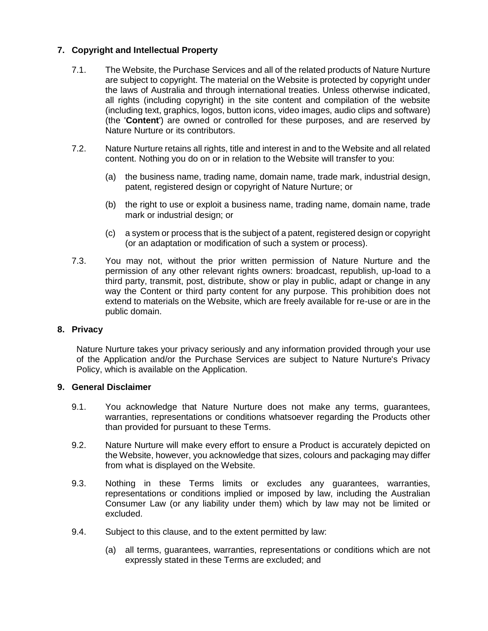# **7. Copyright and Intellectual Property**

- 7.1. The Website, the Purchase Services and all of the related products of Nature Nurture are subject to copyright. The material on the Website is protected by copyright under the laws of Australia and through international treaties. Unless otherwise indicated, all rights (including copyright) in the site content and compilation of the website (including text, graphics, logos, button icons, video images, audio clips and software) (the '**Content**') are owned or controlled for these purposes, and are reserved by Nature Nurture or its contributors.
- 7.2. Nature Nurture retains all rights, title and interest in and to the Website and all related content. Nothing you do on or in relation to the Website will transfer to you:
	- (a) the business name, trading name, domain name, trade mark, industrial design, patent, registered design or copyright of Nature Nurture; or
	- (b) the right to use or exploit a business name, trading name, domain name, trade mark or industrial design; or
	- (c) a system or process that is the subject of a patent, registered design or copyright (or an adaptation or modification of such a system or process).
- 7.3. You may not, without the prior written permission of Nature Nurture and the permission of any other relevant rights owners: broadcast, republish, up-load to a third party, transmit, post, distribute, show or play in public, adapt or change in any way the Content or third party content for any purpose. This prohibition does not extend to materials on the Website, which are freely available for re-use or are in the public domain.

#### **8. Privacy**

Nature Nurture takes your privacy seriously and any information provided through your use of the Application and/or the Purchase Services are subject to Nature Nurture's Privacy Policy, which is available on the Application.

#### **9. General Disclaimer**

- 9.1. You acknowledge that Nature Nurture does not make any terms, guarantees, warranties, representations or conditions whatsoever regarding the Products other than provided for pursuant to these Terms.
- 9.2. Nature Nurture will make every effort to ensure a Product is accurately depicted on the Website, however, you acknowledge that sizes, colours and packaging may differ from what is displayed on the Website.
- 9.3. Nothing in these Terms limits or excludes any guarantees, warranties, representations or conditions implied or imposed by law, including the Australian Consumer Law (or any liability under them) which by law may not be limited or excluded.
- 9.4. Subject to this clause, and to the extent permitted by law:
	- (a) all terms, guarantees, warranties, representations or conditions which are not expressly stated in these Terms are excluded; and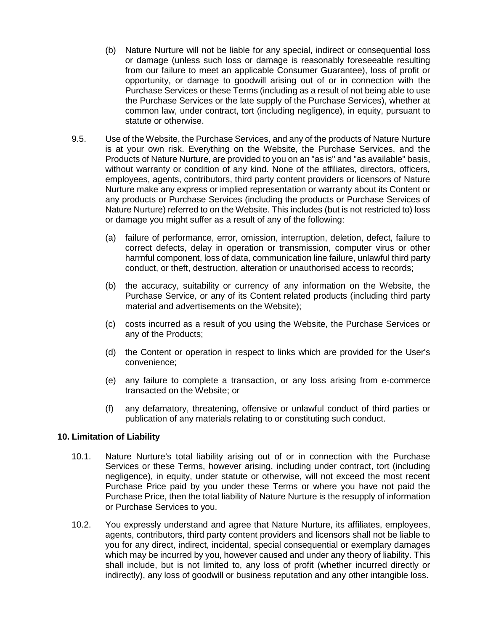- (b) Nature Nurture will not be liable for any special, indirect or consequential loss or damage (unless such loss or damage is reasonably foreseeable resulting from our failure to meet an applicable Consumer Guarantee), loss of profit or opportunity, or damage to goodwill arising out of or in connection with the Purchase Services or these Terms (including as a result of not being able to use the Purchase Services or the late supply of the Purchase Services), whether at common law, under contract, tort (including negligence), in equity, pursuant to statute or otherwise.
- 9.5. Use of the Website, the Purchase Services, and any of the products of Nature Nurture is at your own risk. Everything on the Website, the Purchase Services, and the Products of Nature Nurture, are provided to you on an "as is" and "as available" basis, without warranty or condition of any kind. None of the affiliates, directors, officers, employees, agents, contributors, third party content providers or licensors of Nature Nurture make any express or implied representation or warranty about its Content or any products or Purchase Services (including the products or Purchase Services of Nature Nurture) referred to on the Website. This includes (but is not restricted to) loss or damage you might suffer as a result of any of the following:
	- (a) failure of performance, error, omission, interruption, deletion, defect, failure to correct defects, delay in operation or transmission, computer virus or other harmful component, loss of data, communication line failure, unlawful third party conduct, or theft, destruction, alteration or unauthorised access to records;
	- (b) the accuracy, suitability or currency of any information on the Website, the Purchase Service, or any of its Content related products (including third party material and advertisements on the Website);
	- (c) costs incurred as a result of you using the Website, the Purchase Services or any of the Products;
	- (d) the Content or operation in respect to links which are provided for the User's convenience;
	- (e) any failure to complete a transaction, or any loss arising from e-commerce transacted on the Website; or
	- (f) any defamatory, threatening, offensive or unlawful conduct of third parties or publication of any materials relating to or constituting such conduct.

#### **10. Limitation of Liability**

- 10.1. Nature Nurture's total liability arising out of or in connection with the Purchase Services or these Terms, however arising, including under contract, tort (including negligence), in equity, under statute or otherwise, will not exceed the most recent Purchase Price paid by you under these Terms or where you have not paid the Purchase Price, then the total liability of Nature Nurture is the resupply of information or Purchase Services to you.
- 10.2. You expressly understand and agree that Nature Nurture, its affiliates, employees, agents, contributors, third party content providers and licensors shall not be liable to you for any direct, indirect, incidental, special consequential or exemplary damages which may be incurred by you, however caused and under any theory of liability. This shall include, but is not limited to, any loss of profit (whether incurred directly or indirectly), any loss of goodwill or business reputation and any other intangible loss.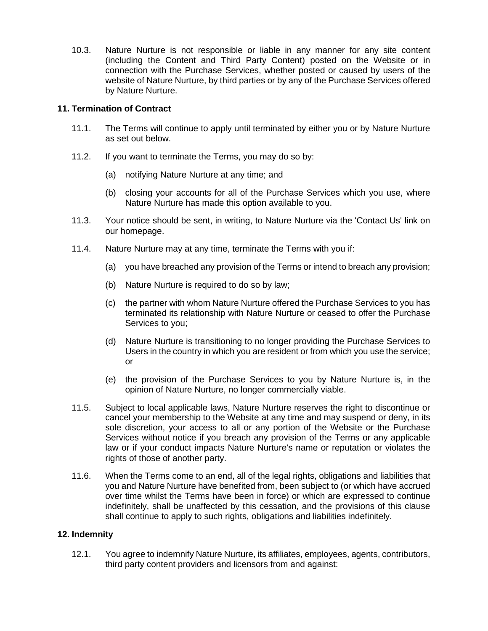10.3. Nature Nurture is not responsible or liable in any manner for any site content (including the Content and Third Party Content) posted on the Website or in connection with the Purchase Services, whether posted or caused by users of the website of Nature Nurture, by third parties or by any of the Purchase Services offered by Nature Nurture.

## **11. Termination of Contract**

- 11.1. The Terms will continue to apply until terminated by either you or by Nature Nurture as set out below.
- 11.2. If you want to terminate the Terms, you may do so by:
	- (a) notifying Nature Nurture at any time; and
	- (b) closing your accounts for all of the Purchase Services which you use, where Nature Nurture has made this option available to you.
- 11.3. Your notice should be sent, in writing, to Nature Nurture via the 'Contact Us' link on our homepage.
- 11.4. Nature Nurture may at any time, terminate the Terms with you if:
	- (a) you have breached any provision of the Terms or intend to breach any provision;
	- (b) Nature Nurture is required to do so by law;
	- (c) the partner with whom Nature Nurture offered the Purchase Services to you has terminated its relationship with Nature Nurture or ceased to offer the Purchase Services to you;
	- (d) Nature Nurture is transitioning to no longer providing the Purchase Services to Users in the country in which you are resident or from which you use the service; or
	- (e) the provision of the Purchase Services to you by Nature Nurture is, in the opinion of Nature Nurture, no longer commercially viable.
- 11.5. Subject to local applicable laws, Nature Nurture reserves the right to discontinue or cancel your membership to the Website at any time and may suspend or deny, in its sole discretion, your access to all or any portion of the Website or the Purchase Services without notice if you breach any provision of the Terms or any applicable law or if your conduct impacts Nature Nurture's name or reputation or violates the rights of those of another party.
- 11.6. When the Terms come to an end, all of the legal rights, obligations and liabilities that you and Nature Nurture have benefited from, been subject to (or which have accrued over time whilst the Terms have been in force) or which are expressed to continue indefinitely, shall be unaffected by this cessation, and the provisions of this clause shall continue to apply to such rights, obligations and liabilities indefinitely.

## **12. Indemnity**

12.1. You agree to indemnify Nature Nurture, its affiliates, employees, agents, contributors, third party content providers and licensors from and against: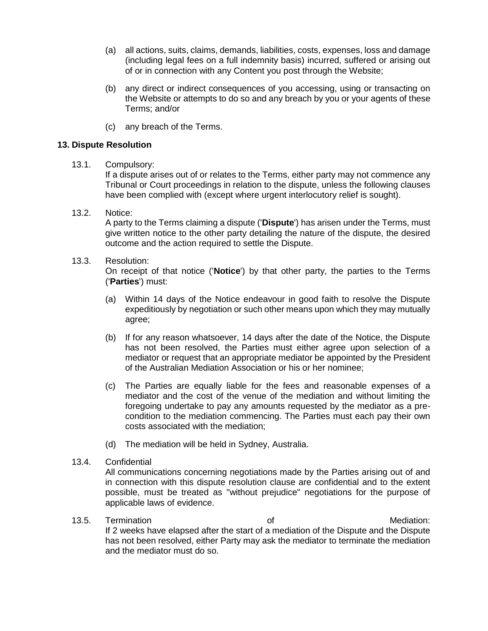- (a) all actions, suits, claims, demands, liabilities, costs, expenses, loss and damage (including legal fees on a full indemnity basis) incurred, suffered or arising out of or in connection with any Content you post through the Website;
- (b) any direct or indirect consequences of you accessing, using or transacting on the Website or attempts to do so and any breach by you or your agents of these Terms; and/or
- (c) any breach of the Terms.

### **13. Dispute Resolution**

13.1. Compulsory:

If a dispute arises out of or relates to the Terms, either party may not commence any Tribunal or Court proceedings in relation to the dispute, unless the following clauses have been complied with (except where urgent interlocutory relief is sought).

13.2. Notice:

A party to the Terms claiming a dispute ('**Dispute**') has arisen under the Terms, must give written notice to the other party detailing the nature of the dispute, the desired outcome and the action required to settle the Dispute.

13.3. Resolution:

On receipt of that notice ('**Notice**') by that other party, the parties to the Terms ('**Parties**') must:

- (a) Within 14 days of the Notice endeavour in good faith to resolve the Dispute expeditiously by negotiation or such other means upon which they may mutually agree;
- (b) If for any reason whatsoever, 14 days after the date of the Notice, the Dispute has not been resolved, the Parties must either agree upon selection of a mediator or request that an appropriate mediator be appointed by the President of the Australian Mediation Association or his or her nominee;
- (c) The Parties are equally liable for the fees and reasonable expenses of a mediator and the cost of the venue of the mediation and without limiting the foregoing undertake to pay any amounts requested by the mediator as a precondition to the mediation commencing. The Parties must each pay their own costs associated with the mediation;
- (d) The mediation will be held in Sydney, Australia.
- 13.4. Confidential

All communications concerning negotiations made by the Parties arising out of and in connection with this dispute resolution clause are confidential and to the extent possible, must be treated as "without prejudice" negotiations for the purpose of applicable laws of evidence.

13.5. Termination **13.5. Termination 13.5. Termination:** If 2 weeks have elapsed after the start of a mediation of the Dispute and the Dispute has not been resolved, either Party may ask the mediator to terminate the mediation and the mediator must do so.